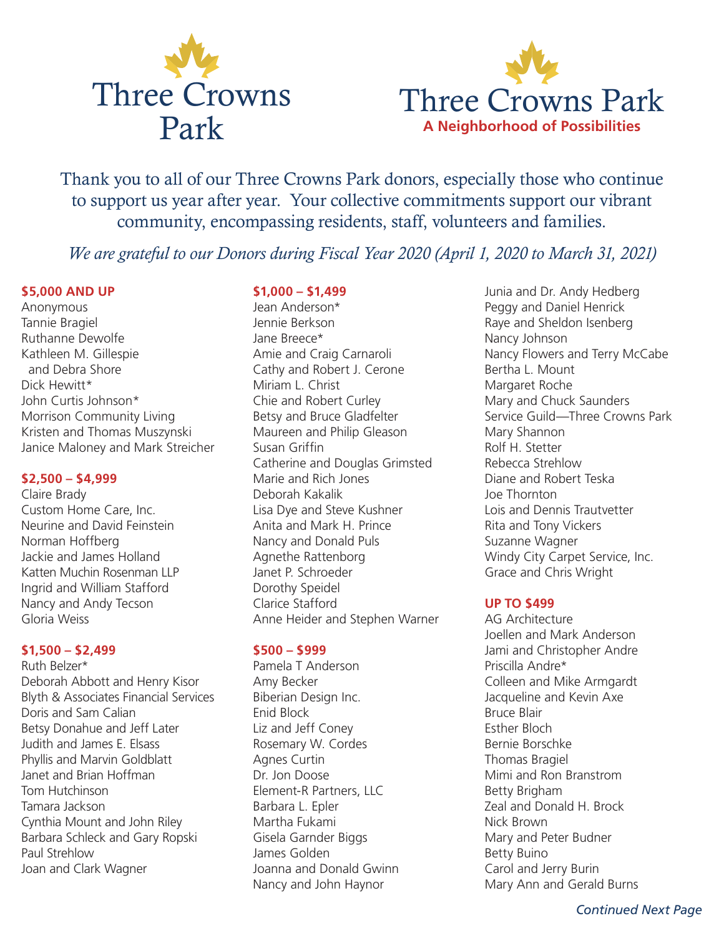



Thank you to all of our Three Crowns Park donors, especially those who continue to support us year after year. Your collective commitments support our vibrant community, encompassing residents, staff, volunteers and families.

*We are grateful to our Donors during Fiscal Year 2020 (April 1, 2020 to March 31, 2021)*

### **\$5,000 AND UP**

Anonymous Tannie Bragiel Ruthanne Dewolfe Kathleen M. Gillespie and Debra Shore Dick Hewitt\* John Curtis Johnson\* Morrison Community Living Kristen and Thomas Muszynski Janice Maloney and Mark Streicher

#### **\$2,500 – \$4,999**

Claire Brady Custom Home Care, Inc. Neurine and David Feinstein Norman Hoffberg Jackie and James Holland Katten Muchin Rosenman LLP Ingrid and William Stafford Nancy and Andy Tecson Gloria Weiss

### **\$1,500 – \$2,499**

Ruth Belzer\* Deborah Abbott and Henry Kisor Blyth & Associates Financial Services Doris and Sam Calian Betsy Donahue and Jeff Later Judith and James E. Elsass Phyllis and Marvin Goldblatt Janet and Brian Hoffman Tom Hutchinson Tamara Jackson Cynthia Mount and John Riley Barbara Schleck and Gary Ropski Paul Strehlow Joan and Clark Wagner

### **\$1,000 – \$1,499**

Jean Anderson\* Jennie Berkson Jane Breece\* Amie and Craig Carnaroli Cathy and Robert J. Cerone Miriam L. Christ Chie and Robert Curley Betsy and Bruce Gladfelter Maureen and Philip Gleason Susan Griffin Catherine and Douglas Grimsted Marie and Rich Jones Deborah Kakalik Lisa Dye and Steve Kushner Anita and Mark H. Prince Nancy and Donald Puls Agnethe Rattenborg Janet P. Schroeder Dorothy Speidel Clarice Stafford Anne Heider and Stephen Warner

### **\$500 – \$999**

Pamela T Anderson Amy Becker Biberian Design Inc. Enid Block Liz and Jeff Coney Rosemary W. Cordes Agnes Curtin Dr. Jon Doose Element-R Partners, LLC Barbara L. Epler Martha Fukami Gisela Garnder Biggs James Golden Joanna and Donald Gwinn Nancy and John Haynor

Junia and Dr. Andy Hedberg Peggy and Daniel Henrick Raye and Sheldon Isenberg Nancy Johnson Nancy Flowers and Terry McCabe Bertha L. Mount Margaret Roche Mary and Chuck Saunders Service Guild—Three Crowns Park Mary Shannon Rolf H. Stetter Rebecca Strehlow Diane and Robert Teska Joe Thornton Lois and Dennis Trautvetter Rita and Tony Vickers Suzanne Wagner Windy City Carpet Service, Inc. Grace and Chris Wright

## **UP TO \$499**

AG Architecture Joellen and Mark Anderson Jami and Christopher Andre Priscilla Andre\* Colleen and Mike Armgardt Jacqueline and Kevin Axe Bruce Blair Esther Bloch Bernie Borschke Thomas Bragiel Mimi and Ron Branstrom Betty Brigham Zeal and Donald H. Brock Nick Brown Mary and Peter Budner Betty Buino Carol and Jerry Burin Mary Ann and Gerald Burns

*Continued Next Page*